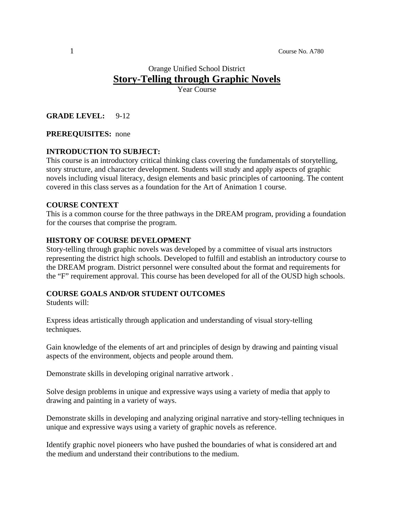# Orange Unified School District **Story-Telling through Graphic Novels**

Year Course

#### **GRADE LEVEL:** 9-12

#### **PREREQUISITES:** none

#### **INTRODUCTION TO SUBJECT:**

This course is an introductory critical thinking class covering the fundamentals of storytelling, story structure, and character development. Students will study and apply aspects of graphic novels including visual literacy, design elements and basic principles of cartooning. The content covered in this class serves as a foundation for the Art of Animation 1 course.

#### **COURSE CONTEXT**

This is a common course for the three pathways in the DREAM program, providing a foundation for the courses that comprise the program.

#### **HISTORY OF COURSE DEVELOPMENT**

Story-telling through graphic novels was developed by a committee of visual arts instructors representing the district high schools. Developed to fulfill and establish an introductory course to the DREAM program. District personnel were consulted about the format and requirements for the "F" requirement approval. This course has been developed for all of the OUSD high schools.

#### **COURSE GOALS AND/OR STUDENT OUTCOMES**

Students will:

Express ideas artistically through application and understanding of visual story-telling techniques.

Gain knowledge of the elements of art and principles of design by drawing and painting visual aspects of the environment, objects and people around them.

Demonstrate skills in developing original narrative artwork .

Solve design problems in unique and expressive ways using a variety of media that apply to drawing and painting in a variety of ways.

Demonstrate skills in developing and analyzing original narrative and story-telling techniques in unique and expressive ways using a variety of graphic novels as reference.

Identify graphic novel pioneers who have pushed the boundaries of what is considered art and the medium and understand their contributions to the medium.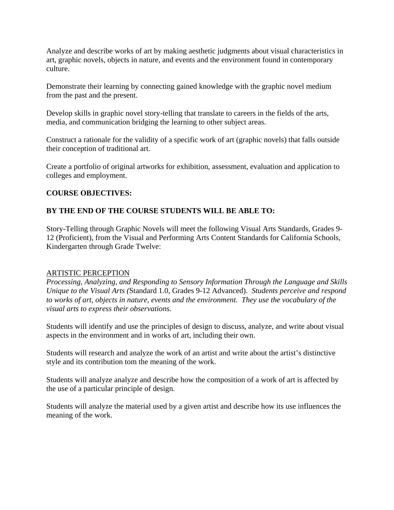Analyze and describe works of art by making aesthetic judgments about visual characteristics in art, graphic novels, objects in nature, and events and the environment found in contemporary culture.

Demonstrate their learning by connecting gained knowledge with the graphic novel medium from the past and the present.

Develop skills in graphic novel story-telling that translate to careers in the fields of the arts, media, and communication bridging the learning to other subject areas.

Construct a rationale for the validity of a specific work of art (graphic novels) that falls outside their conception of traditional art.

Create a portfolio of original artworks for exhibition, assessment, evaluation and application to colleges and employment.

# **COURSE OBJECTIVES:**

# **BY THE END OF THE COURSE STUDENTS WILL BE ABLE TO:**

Story-Telling through Graphic Novels will meet the following Visual Arts Standards, Grades 9- 12 (Proficient), from the Visual and Performing Arts Content Standards for California Schools, Kindergarten through Grade Twelve:

# ARTISTIC PERCEPTION

*Processing, Analyzing, and Responding to Sensory Information Through the Language and Skills Unique to the Visual Arts (*Standard 1.0, Grades 9-12 Advanced). *Students perceive and respond to works of art, objects in nature, events and the environment. They use the vocabulary of the visual arts to express their observations.* 

Students will identify and use the principles of design to discuss, analyze, and write about visual aspects in the environment and in works of art, including their own.

Students will research and analyze the work of an artist and write about the artist's distinctive style and its contribution tom the meaning of the work.

Students will analyze analyze and describe how the composition of a work of art is affected by the use of a particular principle of design.

Students will analyze the material used by a given artist and describe how its use influences the meaning of the work.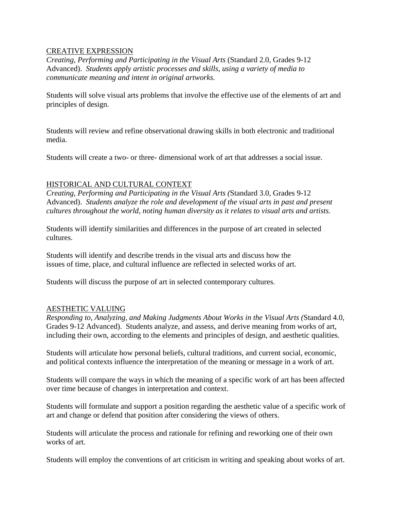#### CREATIVE EXPRESSION

*Creating, Performing and Participating in the Visual Arts* (Standard 2.0, Grades 9-12 Advanced). *Students apply artistic processes and skills, using a variety of media to communicate meaning and intent in original artworks.* 

Students will solve visual arts problems that involve the effective use of the elements of art and principles of design.

Students will review and refine observational drawing skills in both electronic and traditional media.

Students will create a two- or three- dimensional work of art that addresses a social issue.

#### HISTORICAL AND CULTURAL CONTEXT

*Creating, Performing and Participating in the Visual Arts (*Standard 3.0, Grades 9-12 Advanced). *Students analyze the role and development of the visual arts in past and present cultures throughout the world, noting human diversity as it relates to visual arts and artists.* 

Students will identify similarities and differences in the purpose of art created in selected cultures.

Students will identify and describe trends in the visual arts and discuss how the issues of time, place, and cultural influence are reflected in selected works of art.

Students will discuss the purpose of art in selected contemporary cultures.

#### AESTHETIC VALUING

*Responding to, Analyzing, and Making Judgments About Works in the Visual Arts (*Standard 4.0, Grades 9-12 Advanced). Students analyze, and assess, and derive meaning from works of art, including their own, according to the elements and principles of design, and aesthetic qualities.

Students will articulate how personal beliefs, cultural traditions, and current social, economic, and political contexts influence the interpretation of the meaning or message in a work of art.

Students will compare the ways in which the meaning of a specific work of art has been affected over time because of changes in interpretation and context.

Students will formulate and support a position regarding the aesthetic value of a specific work of art and change or defend that position after considering the views of others.

Students will articulate the process and rationale for refining and reworking one of their own works of art.

Students will employ the conventions of art criticism in writing and speaking about works of art.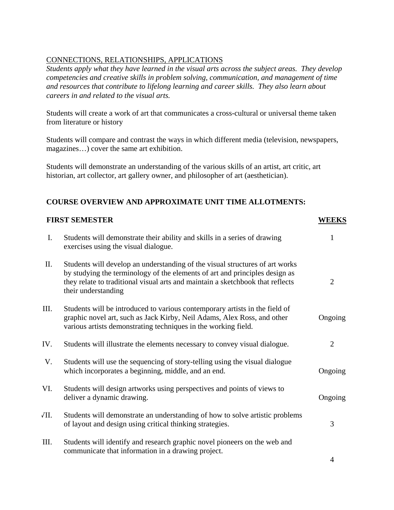# CONNECTIONS, RELATIONSHIPS, APPLICATIONS

*Students apply what they have learned in the visual arts across the subject areas. They develop competencies and creative skills in problem solving, communication, and management of time and resources that contribute to lifelong learning and career skills. They also learn about careers in and related to the visual arts.* 

Students will create a work of art that communicates a cross-cultural or universal theme taken from literature or history

Students will compare and contrast the ways in which different media (television, newspapers, magazines…) cover the same art exhibition.

Students will demonstrate an understanding of the various skills of an artist, art critic, art historian, art collector, art gallery owner, and philosopher of art (aesthetician).

# **COURSE OVERVIEW AND APPROXIMATE UNIT TIME ALLOTMENTS:**

| <b>FIRST SEMESTER</b> |                                                                                                                                                                                                                                                                      | <b>WEEKS</b>   |
|-----------------------|----------------------------------------------------------------------------------------------------------------------------------------------------------------------------------------------------------------------------------------------------------------------|----------------|
| $\mathbf{I}$ .        | Students will demonstrate their ability and skills in a series of drawing<br>exercises using the visual dialogue.                                                                                                                                                    |                |
| II.                   | Students will develop an understanding of the visual structures of art works<br>by studying the terminology of the elements of art and principles design as<br>they relate to traditional visual arts and maintain a sketchbook that reflects<br>their understanding | 2              |
| Ш.                    | Students will be introduced to various contemporary artists in the field of<br>graphic novel art, such as Jack Kirby, Neil Adams, Alex Ross, and other<br>various artists demonstrating techniques in the working field.                                             | Ongoing        |
| IV.                   | Students will illustrate the elements necessary to convey visual dialogue.                                                                                                                                                                                           | $\overline{2}$ |
| V.                    | Students will use the sequencing of story-telling using the visual dialogue<br>which incorporates a beginning, middle, and an end.                                                                                                                                   | Ongoing        |
| VI.                   | Students will design artworks using perspectives and points of views to<br>deliver a dynamic drawing.                                                                                                                                                                | Ongoing        |
| VII.                  | Students will demonstrate an understanding of how to solve artistic problems<br>of layout and design using critical thinking strategies.                                                                                                                             | 3              |
| III.                  | Students will identify and research graphic novel pioneers on the web and<br>communicate that information in a drawing project.                                                                                                                                      |                |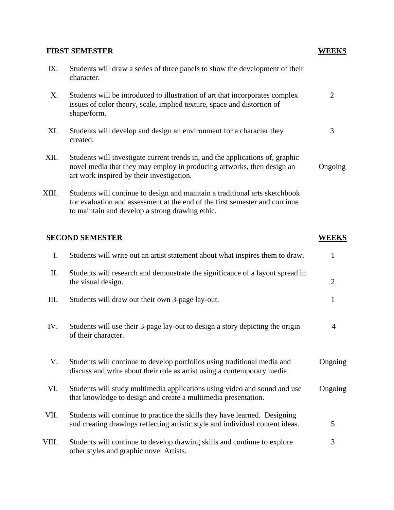# **FIRST SEMESTER WEEKS** IX. Students will draw a series of three panels to show the development of their character. X. Students will be introduced to illustration of art that incorporates complex issues of color theory, scale, implied texture, space and distortion of shape/form. XI. Students will develop and design an environment for a character they created. XII. Students will investigate current trends in, and the applications of, graphic novel media that they may employ in producing artworks, then design an art work inspired by their investigation. XIII. Students will continue to design and maintain a traditional arts sketchbook for evaluation and assessment at the end of the first semester and continue to maintain and develop a strong drawing ethic. 2 3 Ongoing **SECOND SEMESTER WEEKS** I. Students will write out an artist statement about what inspires them to draw. II. Students will research and demonstrate the significance of a layout spread in the visual design. III. Students will draw out their own 3-page lay-out. IV. Students will use their 3-page lay-out to design a story depicting the origin of their character. V. Students will continue to develop portfolios using traditional media and discuss and write about their role as artist using a contemporary media. VI. Students will study multimedia applications using video and sound and use that knowledge to design and create a multimedia presentation. VII. Students will continue to practice the skills they have learned. Designing and creating drawings reflecting artistic style and individual content ideas. VIII. Students will continue to develop drawing skills and continue to explore other styles and graphic novel Artists. 1 2 1 4 Ongoing Ongoing 5 3